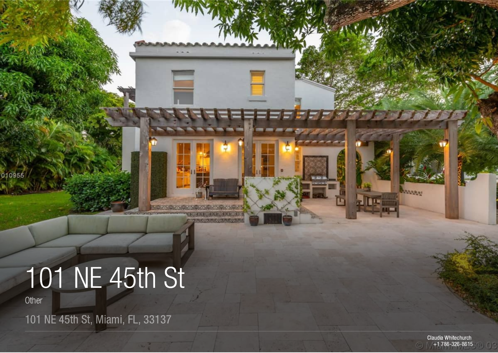# 101 NE 45th St

Other

010955

101 NE 45th St, Miami, FL, 33137

Claudia Whitechurch +1 786-326-8615  $\circ$ 

**LANSSON**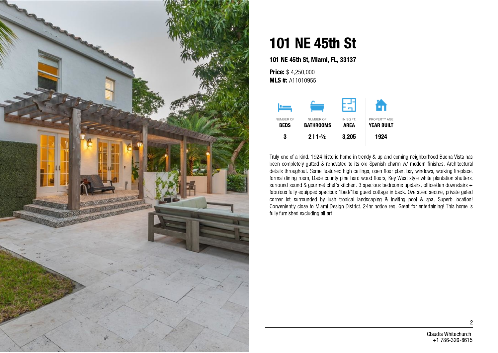

# 101 NE 45th St

101 NE 45th St, Miami, FL, 33137

**Price: \$4,250,000 MLS #: A11010955** 



Truly one of a kind. 1924 historic home in trendy & up and coming neighborhood Buena Vista has been completely gutted & renovated to its old Spanish charm w/ modern finishes. Architectural details throughout. Some features: high ceilings, open floor plan, bay windows, working fireplace, formal dining room, Dade county pine hard wood floors, Key West style white plantation shutters, surround sound & gourmet chef's kitchen. 3 spacious bedrooms upstairs, office/den downstairs + fabulous fully equipped spacious 1bed/1ba guest cottage in back. Oversized secure, private gated corner lot surrounded by lush tropical landscaping & inviting pool & spa. Superb location! Conveniently close to Miami Design District. 24hr notice req. Great for entertaining! This home is fully furnished excluding all art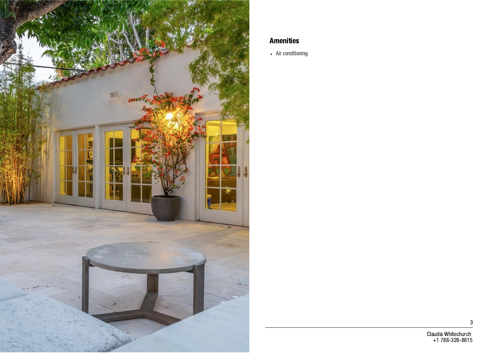

#### Amenities

Air conditioning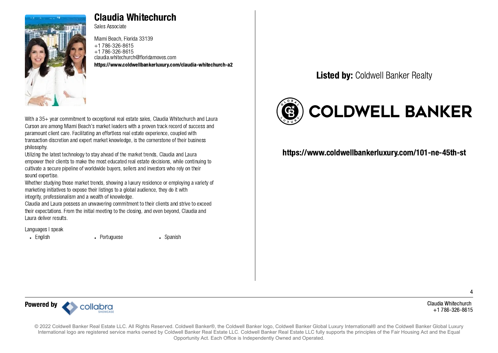

# Claudia Whitechurch

Sales Associate

Miami Beach, Florida 33139 +1 786-326-8615 +1 786-326-8615 claudia.whitechurch@floridamoves.com <https://www.coldwellbankerluxury.com/claudia-whitechurch-a2>

With a 35+ year commitment to exceptional real estate sales, Claudia Whitechurch and Laura Curson are among Miami Beach's market leaders with a proven track record of success and paramount client care. Facilitating an effortless real estate experience, coupled with transaction discretion and expert market knowledge, is the cornerstone of their business philosophy.

Utilizing the latest technology to stay ahead of the market trends, Claudia and Laura empower their clients to make the most educated real estate decisions, while continuing to cultivate a secure pipeline of worldwide buyers, sellers and investors who rely on their sound expertise.

Whether studying those market trends, showing a luxury residence or employing a variety of marketing initiatives to expose their listings to a global audience, they do it with integrity, professionalism and a wealth of knowledge.

Claudia and Laura possess an unwavering commitment to their clients and strive to exceed their expectations. From the initial meeting to the closing, and even beyond, Claudia and Laura deliver results.

Languages I speak

English Portuguese Spanish

## Listed by: Coldwell Banker Realty



### <https://www.coldwellbankerluxury.com/101-ne-45th-st>

Claudia Whitechurch +1 786-326-8615

4



© 2022 Coldwell Banker Real Estate LLC. All Rights Reserved. Coldwell Banker®, the Coldwell Banker logo, Coldwell Banker Global Luxury International® and the Coldwell Banker Global Luxury International logo are registered service marks owned by Coldwell Banker Real Estate LLC. Coldwell Banker Real Estate LLC fully supports the principles of the Fair Housing Act and the Equal Opportunity Act. Each Office is Independently Owned and Operated.